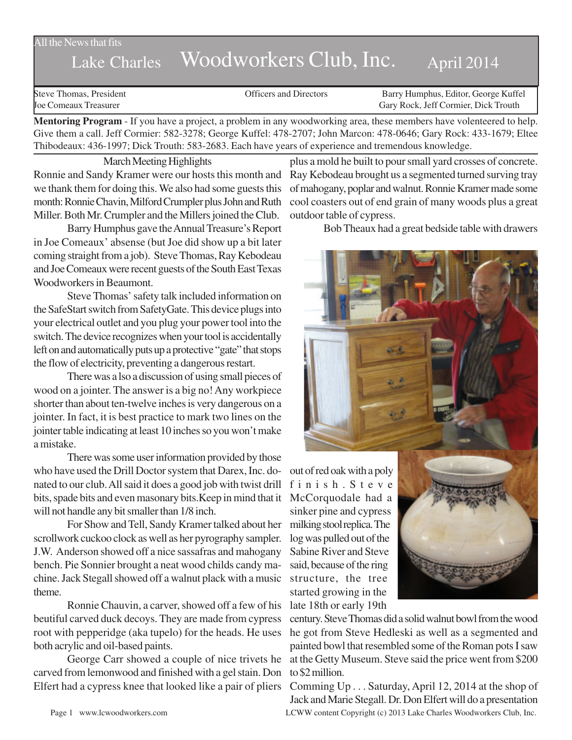## All the News that fits

## Lake Charles Woodworkers Club, Inc. April 2014

Steve Thomas, President **State Concrete Concrete Concrete Concrete Concrete Concrete Concrete Concrete Concrete Concrete Concrete Concrete Concrete Concrete Concrete Concrete Concrete Concrete Concrete Concrete Concrete Co** Joe Comeaux Treasurer Gary Rock, Jeff Cormier, Dick Trouth

**Mentoring Program** - If you have a project, a problem in any woodworking area, these members have volenteered to help. Give them a call. Jeff Cormier: 582-3278; George Kuffel: 478-2707; John Marcon: 478-0646; Gary Rock: 433-1679; Eltee Thibodeaux: 436-1997; Dick Trouth: 583-2683. Each have years of experience and tremendous knowledge.

March Meeting Highlights

Ronnie and Sandy Kramer were our hosts this month and we thank them for doing this. We also had some guests this month: Ronnie Chavin, Milford Crumpler plus John and Ruth Miller. Both Mr. Crumpler and the Millers joined the Club.

Barry Humphus gave the Annual Treasure's Report in Joe Comeaux' absense (but Joe did show up a bit later coming straight from a job). Steve Thomas, Ray Kebodeau and Joe Comeaux were recent guests of the South East Texas Woodworkers in Beaumont.

Steve Thomas' safety talk included information on the SafeStart switch from SafetyGate. This device plugs into your electrical outlet and you plug your power tool into the switch. The device recognizes when your tool is accidentally left on and automatically puts up a protective "gate" that stops the flow of electricity, preventing a dangerous restart.

There was a lso a discussion of using small pieces of wood on a jointer. The answer is a big no! Any workpiece shorter than about ten-twelve inches is very dangerous on a jointer. In fact, it is best practice to mark two lines on the jointer table indicating at least 10 inches so you won't make a mistake.

There was some user information provided by those who have used the Drill Doctor system that Darex, Inc. donated to our club. All said it does a good job with twist drill bits, spade bits and even masonary bits.Keep in mind that it McCorquodale had a will not handle any bit smaller than 1/8 inch.

For Show and Tell, Sandy Kramer talked about her scrollwork cuckoo clock as well as her pyrography sampler. J.W. Anderson showed off a nice sassafras and mahogany bench. Pie Sonnier brought a neat wood childs candy machine. Jack Stegall showed off a walnut plack with a music theme.

Ronnie Chauvin, a carver, showed off a few of his beutiful carved duck decoys. They are made from cypress root with pepperidge (aka tupelo) for the heads. He uses both acrylic and oil-based paints.

George Carr showed a couple of nice trivets he carved from lemonwood and finished with a gel stain. Don Elfert had a cypress knee that looked like a pair of pliers

plus a mold he built to pour small yard crosses of concrete. Ray Kebodeau brought us a segmented turned surving tray of mahogany, poplar and walnut. Ronnie Kramer made some cool coasters out of end grain of many woods plus a great outdoor table of cypress.

Bob Theaux had a great bedside table with drawers



out of red oak with a poly finish.Steve sinker pine and cypress milking stool replica. The log was pulled out of the Sabine River and Steve said, because of the ring structure, the tree started growing in the late 18th or early 19th



century. Steve Thomas did a solid walnut bowl from the wood he got from Steve Hedleski as well as a segmented and painted bowl that resembled some of the Roman pots I saw at the Getty Museum. Steve said the price went from \$200 to \$2 million.

Page 1 www.lcwoodworkers.com LCWW content Copyright (c) 2013 Lake Charles Woodworkers Club, Inc. Comming Up . . . Saturday, April 12, 2014 at the shop of Jack and Marie Stegall. Dr. Don Elfert will do a presentation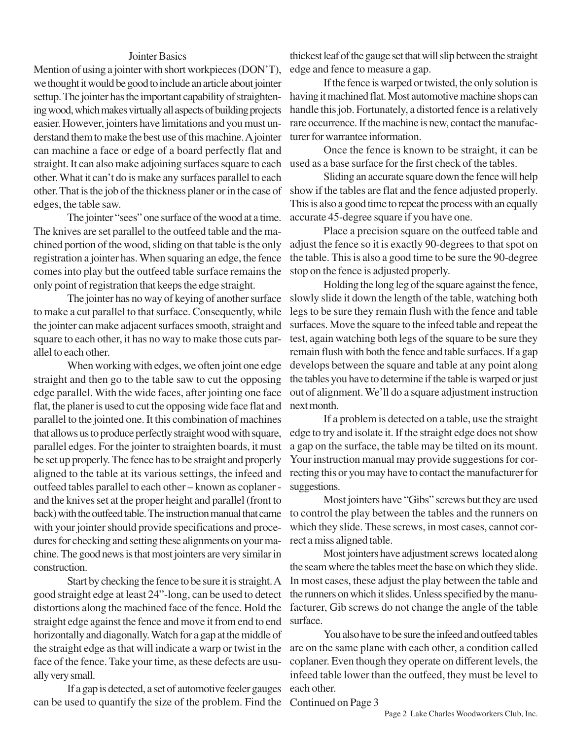## Jointer Basics

Mention of using a jointer with short workpieces (DON'T), we thought it would be good to include an article about jointer settup. The jointer has the important capability of straightening wood, which makes virtually all aspects of building projects easier. However, jointers have limitations and you must understand them to make the best use of this machine. A jointer can machine a face or edge of a board perfectly flat and straight. It can also make adjoining surfaces square to each other. What it can't do is make any surfaces parallel to each other. That is the job of the thickness planer or in the case of show if the tables are flat and the fence adjusted properly. edges, the table saw.

The jointer "sees" one surface of the wood at a time. The knives are set parallel to the outfeed table and the machined portion of the wood, sliding on that table is the only registration a jointer has. When squaring an edge, the fence comes into play but the outfeed table surface remains the only point of registration that keeps the edge straight.

The jointer has no way of keying of another surface to make a cut parallel to that surface. Consequently, while the jointer can make adjacent surfaces smooth, straight and square to each other, it has no way to make those cuts parallel to each other.

When working with edges, we often joint one edge straight and then go to the table saw to cut the opposing edge parallel. With the wide faces, after jointing one face flat, the planer is used to cut the opposing wide face flat and parallel to the jointed one. It this combination of machines that allows us to produce perfectly straight wood with square, parallel edges. For the jointer to straighten boards, it must be set up properly. The fence has to be straight and properly aligned to the table at its various settings, the infeed and outfeed tables parallel to each other – known as coplaner and the knives set at the proper height and parallel (front to back) with the outfeed table. The instruction manual that came with your jointer should provide specifications and procedures for checking and setting these alignments on your machine. The good news is that most jointers are very similar in construction.

Start by checking the fence to be sure it is straight. A good straight edge at least 24"-long, can be used to detect distortions along the machined face of the fence. Hold the straight edge against the fence and move it from end to end horizontally and diagonally. Watch for a gap at the middle of the straight edge as that will indicate a warp or twist in the face of the fence. Take your time, as these defects are usually very small.

If a gap is detected, a set of automotive feeler gauges can be used to quantify the size of the problem. Find the

thickest leaf of the gauge set that will slip between the straight edge and fence to measure a gap.

If the fence is warped or twisted, the only solution is having it machined flat. Most automotive machine shops can handle this job. Fortunately, a distorted fence is a relatively rare occurrence. If the machine is new, contact the manufacturer for warrantee information.

Once the fence is known to be straight, it can be used as a base surface for the first check of the tables.

Sliding an accurate square down the fence will help This is also a good time to repeat the process with an equally accurate 45-degree square if you have one.

Place a precision square on the outfeed table and adjust the fence so it is exactly 90-degrees to that spot on the table. This is also a good time to be sure the 90-degree stop on the fence is adjusted properly.

Holding the long leg of the square against the fence, slowly slide it down the length of the table, watching both legs to be sure they remain flush with the fence and table surfaces. Move the square to the infeed table and repeat the test, again watching both legs of the square to be sure they remain flush with both the fence and table surfaces. If a gap develops between the square and table at any point along the tables you have to determine if the table is warped or just out of alignment. We'll do a square adjustment instruction next month.

If a problem is detected on a table, use the straight edge to try and isolate it. If the straight edge does not show a gap on the surface, the table may be tilted on its mount. Your instruction manual may provide suggestions for correcting this or you may have to contact the manufacturer for suggestions.

Most jointers have "Gibs" screws but they are used to control the play between the tables and the runners on which they slide. These screws, in most cases, cannot correct a miss aligned table.

Most jointers have adjustment screws located along the seam where the tables meet the base on which they slide. In most cases, these adjust the play between the table and the runners on which it slides. Unless specified by the manufacturer, Gib screws do not change the angle of the table surface.

You also have to be sure the infeed and outfeed tables are on the same plane with each other, a condition called coplaner. Even though they operate on different levels, the infeed table lower than the outfeed, they must be level to each other.

Continued on Page 3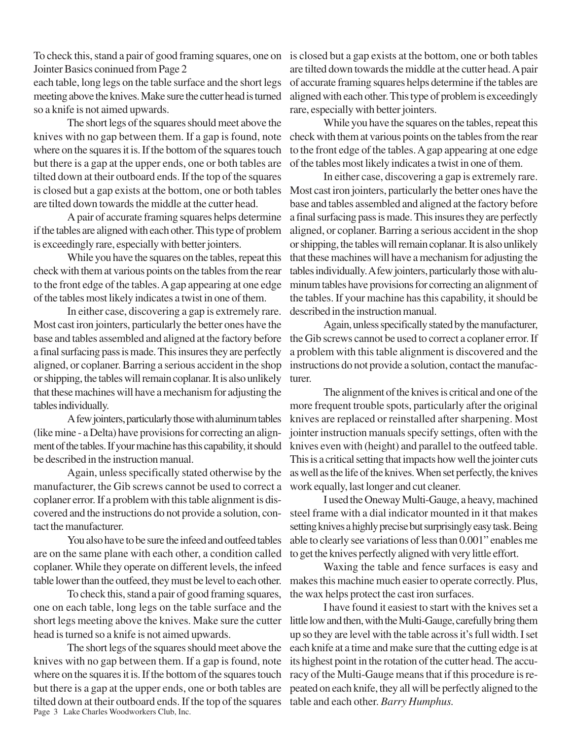To check this, stand a pair of good framing squares, one on is closed but a gap exists at the bottom, one or both tables Jointer Basics coninued from Page 2

each table, long legs on the table surface and the short legs meeting above the knives. Make sure the cutter head is turned so a knife is not aimed upwards.

The short legs of the squares should meet above the knives with no gap between them. If a gap is found, note where on the squares it is. If the bottom of the squares touch but there is a gap at the upper ends, one or both tables are tilted down at their outboard ends. If the top of the squares is closed but a gap exists at the bottom, one or both tables are tilted down towards the middle at the cutter head.

A pair of accurate framing squares helps determine if the tables are aligned with each other. This type of problem is exceedingly rare, especially with better jointers.

While you have the squares on the tables, repeat this check with them at various points on the tables from the rear to the front edge of the tables. A gap appearing at one edge of the tables most likely indicates a twist in one of them.

In either case, discovering a gap is extremely rare. Most cast iron jointers, particularly the better ones have the base and tables assembled and aligned at the factory before a final surfacing pass is made. This insures they are perfectly aligned, or coplaner. Barring a serious accident in the shop or shipping, the tables will remain coplanar. It is also unlikely that these machines will have a mechanism for adjusting the tables individually.

A few jointers, particularly those with aluminum tables (like mine - a Delta) have provisions for correcting an alignment of the tables. If your machine has this capability, it should be described in the instruction manual.

Again, unless specifically stated otherwise by the manufacturer, the Gib screws cannot be used to correct a coplaner error. If a problem with this table alignment is discovered and the instructions do not provide a solution, contact the manufacturer.

You also have to be sure the infeed and outfeed tables are on the same plane with each other, a condition called coplaner. While they operate on different levels, the infeed table lower than the outfeed, they must be level to each other.

To check this, stand a pair of good framing squares, one on each table, long legs on the table surface and the short legs meeting above the knives. Make sure the cutter head is turned so a knife is not aimed upwards.

Page 3 Lake Charles Woodworkers Club, Inc. The short legs of the squares should meet above the knives with no gap between them. If a gap is found, note where on the squares it is. If the bottom of the squares touch but there is a gap at the upper ends, one or both tables are tilted down at their outboard ends. If the top of the squares

are tilted down towards the middle at the cutter head. A pair of accurate framing squares helps determine if the tables are aligned with each other. This type of problem is exceedingly rare, especially with better jointers.

While you have the squares on the tables, repeat this check with them at various points on the tables from the rear to the front edge of the tables. A gap appearing at one edge of the tables most likely indicates a twist in one of them.

In either case, discovering a gap is extremely rare. Most cast iron jointers, particularly the better ones have the base and tables assembled and aligned at the factory before a final surfacing pass is made. This insures they are perfectly aligned, or coplaner. Barring a serious accident in the shop or shipping, the tables will remain coplanar. It is also unlikely that these machines will have a mechanism for adjusting the tables individually. A few jointers, particularly those with aluminum tables have provisions for correcting an alignment of the tables. If your machine has this capability, it should be described in the instruction manual.

Again, unless specifically stated by the manufacturer, the Gib screws cannot be used to correct a coplaner error. If a problem with this table alignment is discovered and the instructions do not provide a solution, contact the manufacturer.

The alignment of the knives is critical and one of the more frequent trouble spots, particularly after the original knives are replaced or reinstalled after sharpening. Most jointer instruction manuals specify settings, often with the knives even with (height) and parallel to the outfeed table. This is a critical setting that impacts how well the jointer cuts as well as the life of the knives. When set perfectly, the knives work equally, last longer and cut cleaner.

I used the Oneway Multi-Gauge, a heavy, machined steel frame with a dial indicator mounted in it that makes setting knives a highly precise but surprisingly easy task. Being able to clearly see variations of less than 0.001" enables me to get the knives perfectly aligned with very little effort.

Waxing the table and fence surfaces is easy and makes this machine much easier to operate correctly. Plus, the wax helps protect the cast iron surfaces.

I have found it easiest to start with the knives set a little low and then, with the Multi-Gauge, carefully bring them up so they are level with the table across it's full width. I set each knife at a time and make sure that the cutting edge is at its highest point in the rotation of the cutter head. The accuracy of the Multi-Gauge means that if this procedure is repeated on each knife, they all will be perfectly aligned to the table and each other. *Barry Humphus.*